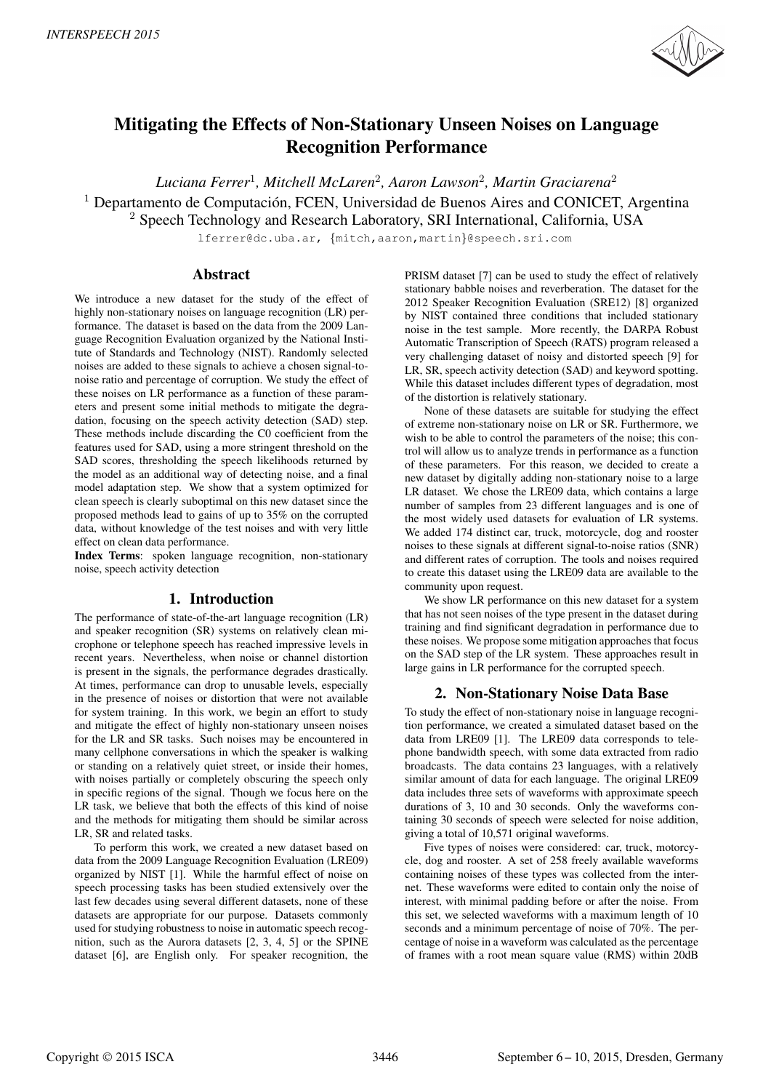

# Mitigating the Effects of Non-Stationary Unseen Noises on Language Recognition Performance

*Luciana Ferrer*<sup>1</sup> *, Mitchell McLaren*<sup>2</sup> *, Aaron Lawson*<sup>2</sup> *, Martin Graciarena*<sup>2</sup>  $1$  Departamento de Computación, FCEN, Universidad de Buenos Aires and CONICET, Argentina <sup>2</sup> Speech Technology and Research Laboratory, SRI International, California, USA

lferrer@dc.uba.ar, {mitch,aaron,martin}@speech.sri.com

## Abstract

We introduce a new dataset for the study of the effect of highly non-stationary noises on language recognition (LR) performance. The dataset is based on the data from the 2009 Language Recognition Evaluation organized by the National Institute of Standards and Technology (NIST). Randomly selected noises are added to these signals to achieve a chosen signal-tonoise ratio and percentage of corruption. We study the effect of these noises on LR performance as a function of these parameters and present some initial methods to mitigate the degradation, focusing on the speech activity detection (SAD) step. These methods include discarding the C0 coefficient from the features used for SAD, using a more stringent threshold on the SAD scores, thresholding the speech likelihoods returned by the model as an additional way of detecting noise, and a final model adaptation step. We show that a system optimized for clean speech is clearly suboptimal on this new dataset since the proposed methods lead to gains of up to 35% on the corrupted data, without knowledge of the test noises and with very little effect on clean data performance.

Index Terms: spoken language recognition, non-stationary noise, speech activity detection

# 1. Introduction

The performance of state-of-the-art language recognition (LR) and speaker recognition (SR) systems on relatively clean microphone or telephone speech has reached impressive levels in recent years. Nevertheless, when noise or channel distortion is present in the signals, the performance degrades drastically. At times, performance can drop to unusable levels, especially in the presence of noises or distortion that were not available for system training. In this work, we begin an effort to study and mitigate the effect of highly non-stationary unseen noises for the LR and SR tasks. Such noises may be encountered in many cellphone conversations in which the speaker is walking or standing on a relatively quiet street, or inside their homes, with noises partially or completely obscuring the speech only in specific regions of the signal. Though we focus here on the LR task, we believe that both the effects of this kind of noise and the methods for mitigating them should be similar across LR, SR and related tasks.

To perform this work, we created a new dataset based on data from the 2009 Language Recognition Evaluation (LRE09) organized by NIST [1]. While the harmful effect of noise on speech processing tasks has been studied extensively over the last few decades using several different datasets, none of these datasets are appropriate for our purpose. Datasets commonly used for studying robustness to noise in automatic speech recognition, such as the Aurora datasets [2, 3, 4, 5] or the SPINE dataset [6], are English only. For speaker recognition, the

PRISM dataset [7] can be used to study the effect of relatively stationary babble noises and reverberation. The dataset for the 2012 Speaker Recognition Evaluation (SRE12) [8] organized by NIST contained three conditions that included stationary noise in the test sample. More recently, the DARPA Robust Automatic Transcription of Speech (RATS) program released a very challenging dataset of noisy and distorted speech [9] for LR, SR, speech activity detection (SAD) and keyword spotting. While this dataset includes different types of degradation, most of the distortion is relatively stationary.

None of these datasets are suitable for studying the effect of extreme non-stationary noise on LR or SR. Furthermore, we wish to be able to control the parameters of the noise; this control will allow us to analyze trends in performance as a function of these parameters. For this reason, we decided to create a new dataset by digitally adding non-stationary noise to a large LR dataset. We chose the LRE09 data, which contains a large number of samples from 23 different languages and is one of the most widely used datasets for evaluation of LR systems. We added 174 distinct car, truck, motorcycle, dog and rooster noises to these signals at different signal-to-noise ratios (SNR) and different rates of corruption. The tools and noises required to create this dataset using the LRE09 data are available to the community upon request.

We show LR performance on this new dataset for a system that has not seen noises of the type present in the dataset during training and find significant degradation in performance due to these noises. We propose some mitigation approaches that focus on the SAD step of the LR system. These approaches result in large gains in LR performance for the corrupted speech.

# 2. Non-Stationary Noise Data Base

To study the effect of non-stationary noise in language recognition performance, we created a simulated dataset based on the data from LRE09 [1]. The LRE09 data corresponds to telephone bandwidth speech, with some data extracted from radio broadcasts. The data contains 23 languages, with a relatively similar amount of data for each language. The original LRE09 data includes three sets of waveforms with approximate speech durations of 3, 10 and 30 seconds. Only the waveforms containing 30 seconds of speech were selected for noise addition, giving a total of 10,571 original waveforms.

Five types of noises were considered: car, truck, motorcycle, dog and rooster. A set of 258 freely available waveforms containing noises of these types was collected from the internet. These waveforms were edited to contain only the noise of interest, with minimal padding before or after the noise. From this set, we selected waveforms with a maximum length of 10 seconds and a minimum percentage of noise of 70%. The percentage of noise in a waveform was calculated as the percentage of frames with a root mean square value (RMS) within 20dB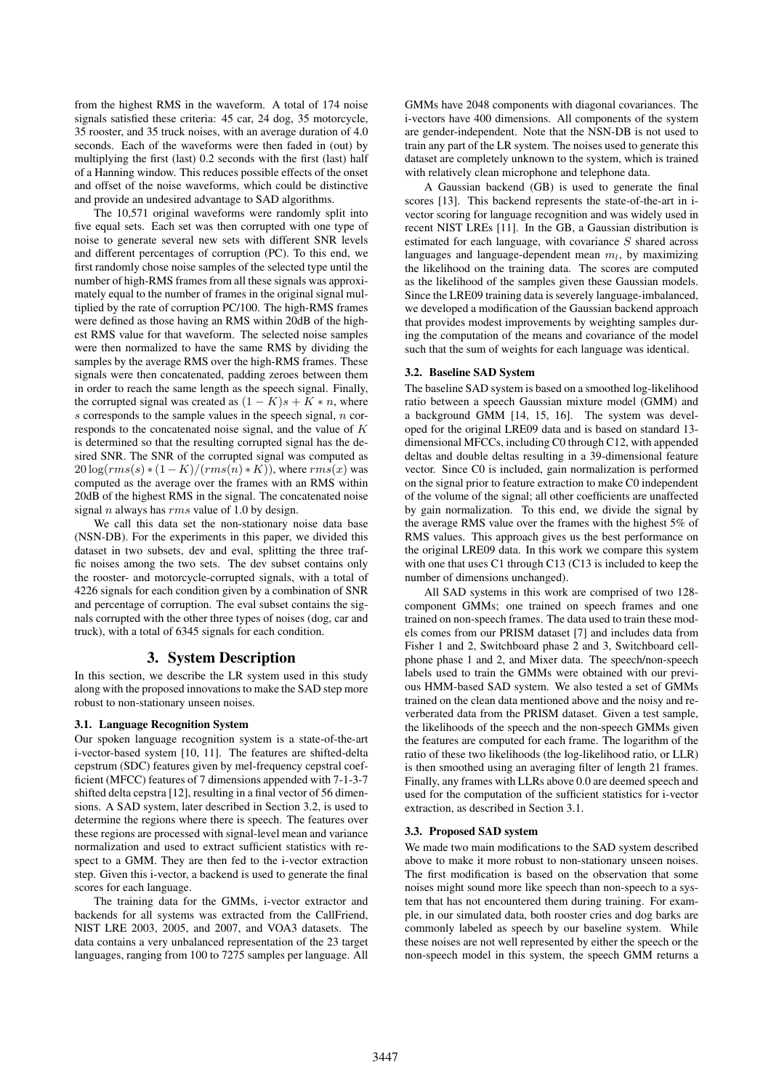from the highest RMS in the waveform. A total of 174 noise signals satisfied these criteria: 45 car, 24 dog, 35 motorcycle, 35 rooster, and 35 truck noises, with an average duration of 4.0 seconds. Each of the waveforms were then faded in (out) by multiplying the first (last) 0.2 seconds with the first (last) half of a Hanning window. This reduces possible effects of the onset and offset of the noise waveforms, which could be distinctive and provide an undesired advantage to SAD algorithms.

The 10,571 original waveforms were randomly split into five equal sets. Each set was then corrupted with one type of noise to generate several new sets with different SNR levels and different percentages of corruption (PC). To this end, we first randomly chose noise samples of the selected type until the number of high-RMS frames from all these signals was approximately equal to the number of frames in the original signal multiplied by the rate of corruption PC/100. The high-RMS frames were defined as those having an RMS within 20dB of the highest RMS value for that waveform. The selected noise samples were then normalized to have the same RMS by dividing the samples by the average RMS over the high-RMS frames. These signals were then concatenated, padding zeroes between them in order to reach the same length as the speech signal. Finally, the corrupted signal was created as  $(1 - K)s + K * n$ , where  $s$  corresponds to the sample values in the speech signal,  $n$  corresponds to the concatenated noise signal, and the value of K is determined so that the resulting corrupted signal has the desired SNR. The SNR of the corrupted signal was computed as  $20 \log(rms(s) * (1 - K)/(rms(n) * K))$ , where  $rms(x)$  was computed as the average over the frames with an RMS within 20dB of the highest RMS in the signal. The concatenated noise signal n always has  $rms$  value of 1.0 by design.

We call this data set the non-stationary noise data base (NSN-DB). For the experiments in this paper, we divided this dataset in two subsets, dev and eval, splitting the three traffic noises among the two sets. The dev subset contains only the rooster- and motorcycle-corrupted signals, with a total of 4226 signals for each condition given by a combination of SNR and percentage of corruption. The eval subset contains the signals corrupted with the other three types of noises (dog, car and truck), with a total of 6345 signals for each condition.

# 3. System Description

In this section, we describe the LR system used in this study along with the proposed innovations to make the SAD step more robust to non-stationary unseen noises.

## 3.1. Language Recognition System

Our spoken language recognition system is a state-of-the-art i-vector-based system [10, 11]. The features are shifted-delta cepstrum (SDC) features given by mel-frequency cepstral coefficient (MFCC) features of 7 dimensions appended with 7-1-3-7 shifted delta cepstra [12], resulting in a final vector of 56 dimensions. A SAD system, later described in Section 3.2, is used to determine the regions where there is speech. The features over these regions are processed with signal-level mean and variance normalization and used to extract sufficient statistics with respect to a GMM. They are then fed to the i-vector extraction step. Given this i-vector, a backend is used to generate the final scores for each language.

The training data for the GMMs, i-vector extractor and backends for all systems was extracted from the CallFriend, NIST LRE 2003, 2005, and 2007, and VOA3 datasets. The data contains a very unbalanced representation of the 23 target languages, ranging from 100 to 7275 samples per language. All GMMs have 2048 components with diagonal covariances. The i-vectors have 400 dimensions. All components of the system are gender-independent. Note that the NSN-DB is not used to train any part of the LR system. The noises used to generate this dataset are completely unknown to the system, which is trained with relatively clean microphone and telephone data.

A Gaussian backend (GB) is used to generate the final scores [13]. This backend represents the state-of-the-art in ivector scoring for language recognition and was widely used in recent NIST LREs [11]. In the GB, a Gaussian distribution is estimated for each language, with covariance S shared across languages and language-dependent mean  $m_l$ , by maximizing the likelihood on the training data. The scores are computed as the likelihood of the samples given these Gaussian models. Since the LRE09 training data is severely language-imbalanced, we developed a modification of the Gaussian backend approach that provides modest improvements by weighting samples during the computation of the means and covariance of the model such that the sum of weights for each language was identical.

#### 3.2. Baseline SAD System

The baseline SAD system is based on a smoothed log-likelihood ratio between a speech Gaussian mixture model (GMM) and a background GMM [14, 15, 16]. The system was developed for the original LRE09 data and is based on standard 13 dimensional MFCCs, including C0 through C12, with appended deltas and double deltas resulting in a 39-dimensional feature vector. Since C0 is included, gain normalization is performed on the signal prior to feature extraction to make C0 independent of the volume of the signal; all other coefficients are unaffected by gain normalization. To this end, we divide the signal by the average RMS value over the frames with the highest 5% of RMS values. This approach gives us the best performance on the original LRE09 data. In this work we compare this system with one that uses C1 through C13 (C13 is included to keep the number of dimensions unchanged).

All SAD systems in this work are comprised of two 128 component GMMs; one trained on speech frames and one trained on non-speech frames. The data used to train these models comes from our PRISM dataset [7] and includes data from Fisher 1 and 2, Switchboard phase 2 and 3, Switchboard cellphone phase 1 and 2, and Mixer data. The speech/non-speech labels used to train the GMMs were obtained with our previous HMM-based SAD system. We also tested a set of GMMs trained on the clean data mentioned above and the noisy and reverberated data from the PRISM dataset. Given a test sample, the likelihoods of the speech and the non-speech GMMs given the features are computed for each frame. The logarithm of the ratio of these two likelihoods (the log-likelihood ratio, or LLR) is then smoothed using an averaging filter of length 21 frames. Finally, any frames with LLRs above 0.0 are deemed speech and used for the computation of the sufficient statistics for i-vector extraction, as described in Section 3.1.

## 3.3. Proposed SAD system

We made two main modifications to the SAD system described above to make it more robust to non-stationary unseen noises. The first modification is based on the observation that some noises might sound more like speech than non-speech to a system that has not encountered them during training. For example, in our simulated data, both rooster cries and dog barks are commonly labeled as speech by our baseline system. While these noises are not well represented by either the speech or the non-speech model in this system, the speech GMM returns a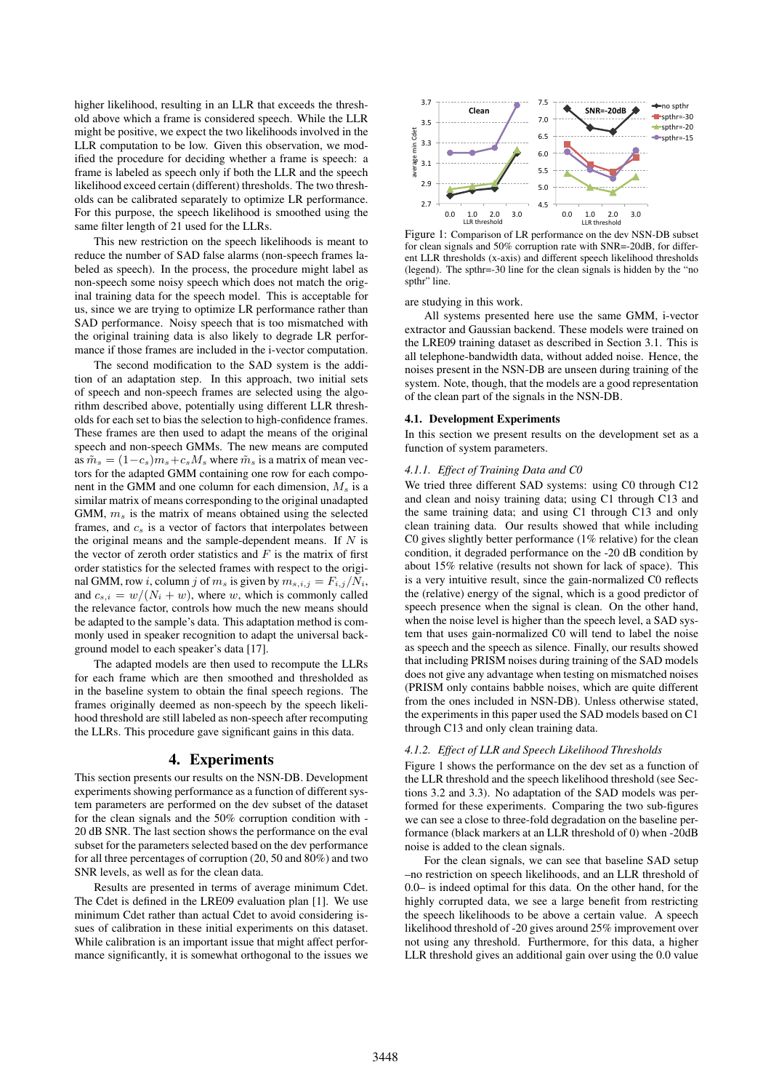higher likelihood, resulting in an LLR that exceeds the threshold above which a frame is considered speech. While the LLR might be positive, we expect the two likelihoods involved in the LLR computation to be low. Given this observation, we modified the procedure for deciding whether a frame is speech: a frame is labeled as speech only if both the LLR and the speech likelihood exceed certain (different) thresholds. The two thresholds can be calibrated separately to optimize LR performance. For this purpose, the speech likelihood is smoothed using the same filter length of 21 used for the LLRs.

This new restriction on the speech likelihoods is meant to reduce the number of SAD false alarms (non-speech frames labeled as speech). In the process, the procedure might label as non-speech some noisy speech which does not match the original training data for the speech model. This is acceptable for us, since we are trying to optimize LR performance rather than SAD performance. Noisy speech that is too mismatched with the original training data is also likely to degrade LR performance if those frames are included in the i-vector computation.

The second modification to the SAD system is the addition of an adaptation step. In this approach, two initial sets of speech and non-speech frames are selected using the algorithm described above, potentially using different LLR thresholds for each set to bias the selection to high-confidence frames. These frames are then used to adapt the means of the original speech and non-speech GMMs. The new means are computed as  $\tilde{m}_s = (1-c_s)m_s + c_sM_s$  where  $\tilde{m}_s$  is a matrix of mean vectors for the adapted GMM containing one row for each component in the GMM and one column for each dimension,  $M_s$  is a similar matrix of means corresponding to the original unadapted GMM,  $m<sub>s</sub>$  is the matrix of means obtained using the selected frames, and  $c_s$  is a vector of factors that interpolates between the original means and the sample-dependent means. If  $N$  is the vector of zeroth order statistics and  $F$  is the matrix of first order statistics for the selected frames with respect to the original GMM, row *i*, column *j* of  $m_s$  is given by  $m_{s,i,j} = F_{i,j}/N_i$ , and  $c_{s,i} = w/(N_i + w)$ , where w, which is commonly called the relevance factor, controls how much the new means should be adapted to the sample's data. This adaptation method is commonly used in speaker recognition to adapt the universal background model to each speaker's data [17].

The adapted models are then used to recompute the LLRs for each frame which are then smoothed and thresholded as in the baseline system to obtain the final speech regions. The frames originally deemed as non-speech by the speech likelihood threshold are still labeled as non-speech after recomputing the LLRs. This procedure gave significant gains in this data.

## 4. Experiments

This section presents our results on the NSN-DB. Development experiments showing performance as a function of different system parameters are performed on the dev subset of the dataset for the clean signals and the 50% corruption condition with - 20 dB SNR. The last section shows the performance on the eval subset for the parameters selected based on the dev performance for all three percentages of corruption (20, 50 and 80%) and two SNR levels, as well as for the clean data.

Results are presented in terms of average minimum Cdet. The Cdet is defined in the LRE09 evaluation plan [1]. We use minimum Cdet rather than actual Cdet to avoid considering issues of calibration in these initial experiments on this dataset. While calibration is an important issue that might affect performance significantly, it is somewhat orthogonal to the issues we



Figure 1: Comparison of LR performance on the dev NSN-DB subset for clean signals and 50% corruption rate with SNR=-20dB, for different LLR thresholds (x-axis) and different speech likelihood thresholds (legend). The spthr=-30 line for the clean signals is hidden by the "no spthr" line.

are studying in this work.

All systems presented here use the same GMM, i-vector extractor and Gaussian backend. These models were trained on the LRE09 training dataset as described in Section 3.1. This is all telephone-bandwidth data, without added noise. Hence, the noises present in the NSN-DB are unseen during training of the system. Note, though, that the models are a good representation of the clean part of the signals in the NSN-DB.

#### 4.1. Development Experiments

In this section we present results on the development set as a function of system parameters.

#### *4.1.1. Effect of Training Data and C0*

We tried three different SAD systems: using C0 through C12 and clean and noisy training data; using C1 through C13 and the same training data; and using C1 through C13 and only clean training data. Our results showed that while including C0 gives slightly better performance (1% relative) for the clean condition, it degraded performance on the -20 dB condition by about 15% relative (results not shown for lack of space). This is a very intuitive result, since the gain-normalized C0 reflects the (relative) energy of the signal, which is a good predictor of speech presence when the signal is clean. On the other hand, when the noise level is higher than the speech level, a SAD system that uses gain-normalized C0 will tend to label the noise as speech and the speech as silence. Finally, our results showed that including PRISM noises during training of the SAD models does not give any advantage when testing on mismatched noises (PRISM only contains babble noises, which are quite different from the ones included in NSN-DB). Unless otherwise stated, the experiments in this paper used the SAD models based on C1 through C13 and only clean training data.

#### *4.1.2. Effect of LLR and Speech Likelihood Thresholds*

Figure 1 shows the performance on the dev set as a function of the LLR threshold and the speech likelihood threshold (see Sections 3.2 and 3.3). No adaptation of the SAD models was performed for these experiments. Comparing the two sub-figures we can see a close to three-fold degradation on the baseline performance (black markers at an LLR threshold of 0) when -20dB noise is added to the clean signals.

For the clean signals, we can see that baseline SAD setup –no restriction on speech likelihoods, and an LLR threshold of 0.0– is indeed optimal for this data. On the other hand, for the highly corrupted data, we see a large benefit from restricting the speech likelihoods to be above a certain value. A speech likelihood threshold of -20 gives around 25% improvement over not using any threshold. Furthermore, for this data, a higher LLR threshold gives an additional gain over using the 0.0 value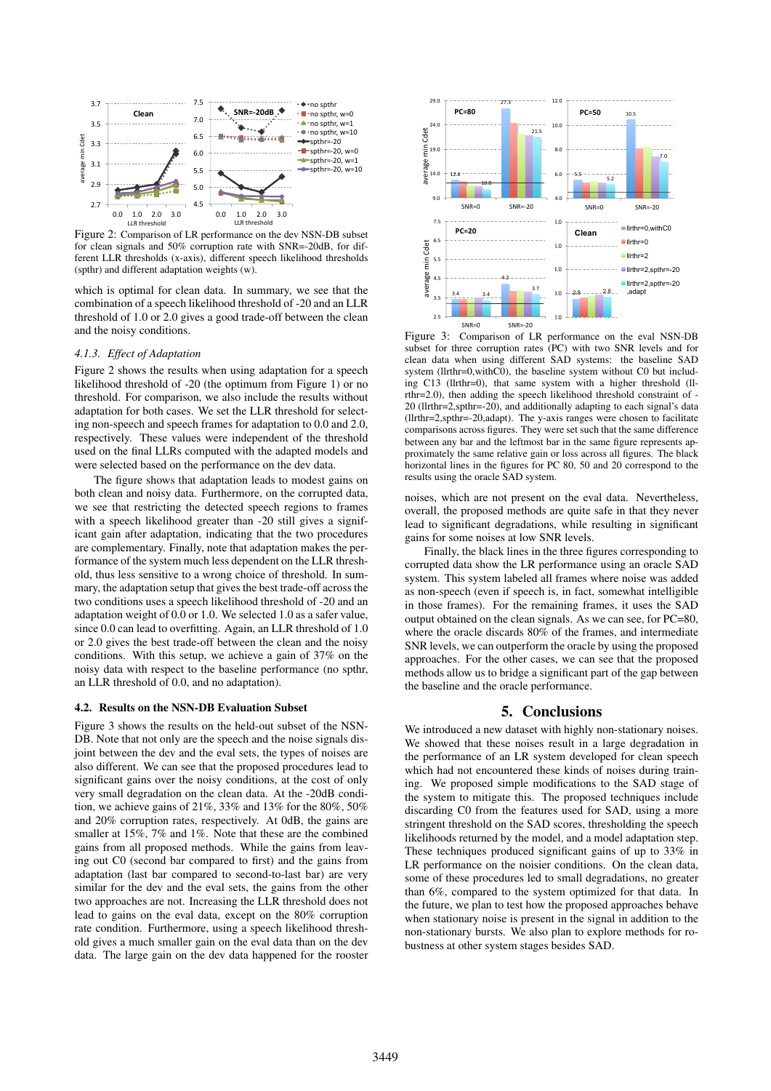

Figure 2: Comparison of LR performance on the dev NSN-DB subset for clean signals and 50% corruption rate with SNR=-20dB, for different LLR thresholds (x-axis), different speech likelihood thresholds (spthr) and different adaptation weights (w).

which is optimal for clean data. In summary, we see that the combination of a speech likelihood threshold of -20 and an LLR threshold of 1.0 or 2.0 gives a good trade-off between the clean and the noisy conditions.

#### *4.1.3. Effect of Adaptation*

Figure 2 shows the results when using adaptation for a speech likelihood threshold of -20 (the optimum from Figure 1) or no threshold. For comparison, we also include the results without adaptation for both cases. We set the LLR threshold for selecting non-speech and speech frames for adaptation to 0.0 and 2.0, respectively. These values were independent of the threshold used on the final LLRs computed with the adapted models and were selected based on the performance on the dev data.

The figure shows that adaptation leads to modest gains on both clean and noisy data. Furthermore, on the corrupted data, we see that restricting the detected speech regions to frames with a speech likelihood greater than -20 still gives a significant gain after adaptation, indicating that the two procedures are complementary. Finally, note that adaptation makes the performance of the system much less dependent on the LLR threshold, thus less sensitive to a wrong choice of threshold. In summary, the adaptation setup that gives the best trade-off across the two conditions uses a speech likelihood threshold of -20 and an adaptation weight of 0.0 or 1.0. We selected 1.0 as a safer value, since 0.0 can lead to overfitting. Again, an LLR threshold of 1.0 or 2.0 gives the best trade-off between the clean and the noisy conditions. With this setup, we achieve a gain of 37% on the noisy data with respect to the baseline performance (no spthr, an LLR threshold of 0.0, and no adaptation).

#### 4.2. Results on the NSN-DB Evaluation Subset

Figure 3 shows the results on the held-out subset of the NSN-DB. Note that not only are the speech and the noise signals disjoint between the dev and the eval sets, the types of noises are also different. We can see that the proposed procedures lead to significant gains over the noisy conditions, at the cost of only very small degradation on the clean data. At the -20dB condition, we achieve gains of 21%, 33% and 13% for the 80%, 50% and 20% corruption rates, respectively. At 0dB, the gains are smaller at 15%, 7% and 1%. Note that these are the combined gains from all proposed methods. While the gains from leaving out C0 (second bar compared to first) and the gains from adaptation (last bar compared to second-to-last bar) are very similar for the dev and the eval sets, the gains from the other two approaches are not. Increasing the LLR threshold does not lead to gains on the eval data, except on the 80% corruption rate condition. Furthermore, using a speech likelihood threshold gives a much smaller gain on the eval data than on the dev data. The large gain on the dev data happened for the rooster



Figure 3: Comparison of LR performance on the eval NSN-DB subset for three corruption rates (PC) with two SNR levels and for clean data when using different SAD systems: the baseline SAD system (llrthr=0,withC0), the baseline system without C0 but including C13 (llrthr=0), that same system with a higher threshold (llrthr=2.0), then adding the speech likelihood threshold constraint of - 20 (llrthr=2,spthr=-20), and additionally adapting to each signal's data (llrthr=2,spthr=-20,adapt). The y-axis ranges were chosen to facilitate comparisons across figures. They were set such that the same difference between any bar and the leftmost bar in the same figure represents approximately the same relative gain or loss across all figures. The black horizontal lines in the figures for PC 80, 50 and 20 correspond to the results using the oracle SAD system.

noises, which are not present on the eval data. Nevertheless, overall, the proposed methods are quite safe in that they never lead to significant degradations, while resulting in significant gains for some noises at low SNR levels.

Finally, the black lines in the three figures corresponding to corrupted data show the LR performance using an oracle SAD system. This system labeled all frames where noise was added as non-speech (even if speech is, in fact, somewhat intelligible in those frames). For the remaining frames, it uses the SAD output obtained on the clean signals. As we can see, for PC=80, where the oracle discards 80% of the frames, and intermediate SNR levels, we can outperform the oracle by using the proposed approaches. For the other cases, we can see that the proposed methods allow us to bridge a significant part of the gap between the baseline and the oracle performance.

## 5. Conclusions

We introduced a new dataset with highly non-stationary noises. We showed that these noises result in a large degradation in the performance of an LR system developed for clean speech which had not encountered these kinds of noises during training. We proposed simple modifications to the SAD stage of the system to mitigate this. The proposed techniques include discarding C0 from the features used for SAD, using a more stringent threshold on the SAD scores, thresholding the speech likelihoods returned by the model, and a model adaptation step. These techniques produced significant gains of up to 33% in LR performance on the noisier conditions. On the clean data, some of these procedures led to small degradations, no greater than 6%, compared to the system optimized for that data. In the future, we plan to test how the proposed approaches behave when stationary noise is present in the signal in addition to the non-stationary bursts. We also plan to explore methods for robustness at other system stages besides SAD.